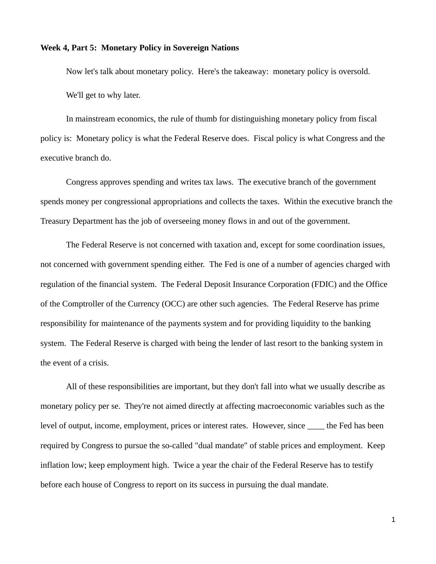## **Week 4, Part 5: Monetary Policy in Sovereign Nations**

Now let's talk about monetary policy. Here's the takeaway: monetary policy is oversold. We'll get to why later.

In mainstream economics, the rule of thumb for distinguishing monetary policy from fiscal policy is: Monetary policy is what the Federal Reserve does. Fiscal policy is what Congress and the executive branch do.

Congress approves spending and writes tax laws. The executive branch of the government spends money per congressional appropriations and collects the taxes. Within the executive branch the Treasury Department has the job of overseeing money flows in and out of the government.

The Federal Reserve is not concerned with taxation and, except for some coordination issues, not concerned with government spending either. The Fed is one of a number of agencies charged with regulation of the financial system. The Federal Deposit Insurance Corporation (FDIC) and the Office of the Comptroller of the Currency (OCC) are other such agencies. The Federal Reserve has prime responsibility for maintenance of the payments system and for providing liquidity to the banking system. The Federal Reserve is charged with being the lender of last resort to the banking system in the event of a crisis.

All of these responsibilities are important, but they don't fall into what we usually describe as monetary policy per se. They're not aimed directly at affecting macroeconomic variables such as the level of output, income, employment, prices or interest rates. However, since \_\_\_\_ the Fed has been required by Congress to pursue the so-called "dual mandate" of stable prices and employment. Keep inflation low; keep employment high. Twice a year the chair of the Federal Reserve has to testify before each house of Congress to report on its success in pursuing the dual mandate.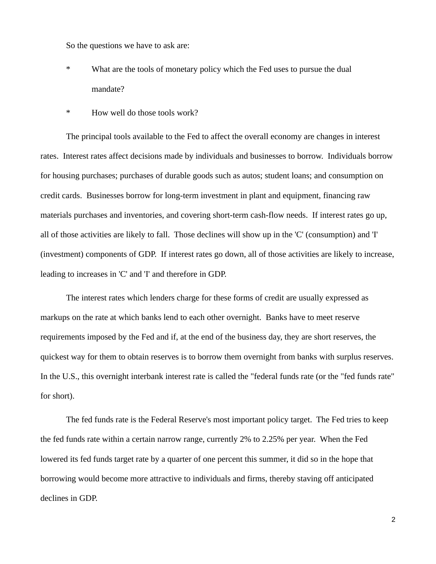So the questions we have to ask are:

- \* What are the tools of monetary policy which the Fed uses to pursue the dual mandate?
- \* How well do those tools work?

The principal tools available to the Fed to affect the overall economy are changes in interest rates. Interest rates affect decisions made by individuals and businesses to borrow. Individuals borrow for housing purchases; purchases of durable goods such as autos; student loans; and consumption on credit cards. Businesses borrow for long-term investment in plant and equipment, financing raw materials purchases and inventories, and covering short-term cash-flow needs. If interest rates go up, all of those activities are likely to fall. Those declines will show up in the 'C' (consumption) and 'I' (investment) components of GDP. If interest rates go down, all of those activities are likely to increase, leading to increases in 'C' and 'I' and therefore in GDP.

The interest rates which lenders charge for these forms of credit are usually expressed as markups on the rate at which banks lend to each other overnight. Banks have to meet reserve requirements imposed by the Fed and if, at the end of the business day, they are short reserves, the quickest way for them to obtain reserves is to borrow them overnight from banks with surplus reserves. In the U.S., this overnight interbank interest rate is called the "federal funds rate (or the "fed funds rate" for short).

The fed funds rate is the Federal Reserve's most important policy target. The Fed tries to keep the fed funds rate within a certain narrow range, currently 2% to 2.25% per year. When the Fed lowered its fed funds target rate by a quarter of one percent this summer, it did so in the hope that borrowing would become more attractive to individuals and firms, thereby staving off anticipated declines in GDP.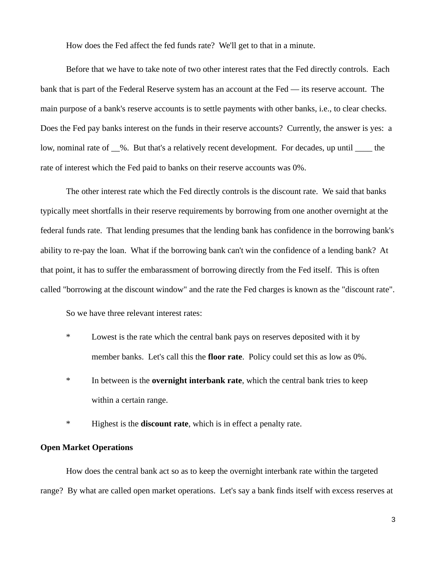How does the Fed affect the fed funds rate? We'll get to that in a minute.

Before that we have to take note of two other interest rates that the Fed directly controls. Each bank that is part of the Federal Reserve system has an account at the Fed — its reserve account. The main purpose of a bank's reserve accounts is to settle payments with other banks, i.e., to clear checks. Does the Fed pay banks interest on the funds in their reserve accounts? Currently, the answer is yes: a low, nominal rate of  $\_\%$ . But that's a relatively recent development. For decades, up until  $\_\_$  the rate of interest which the Fed paid to banks on their reserve accounts was 0%.

The other interest rate which the Fed directly controls is the discount rate. We said that banks typically meet shortfalls in their reserve requirements by borrowing from one another overnight at the federal funds rate. That lending presumes that the lending bank has confidence in the borrowing bank's ability to re-pay the loan. What if the borrowing bank can't win the confidence of a lending bank? At that point, it has to suffer the embarassment of borrowing directly from the Fed itself. This is often called "borrowing at the discount window" and the rate the Fed charges is known as the "discount rate".

So we have three relevant interest rates:

- \* Lowest is the rate which the central bank pays on reserves deposited with it by member banks. Let's call this the **floor rate**. Policy could set this as low as 0%.
- \* In between is the **overnight interbank rate**, which the central bank tries to keep within a certain range.
- \* Highest is the **discount rate**, which is in effect a penalty rate.

## **Open Market Operations**

How does the central bank act so as to keep the overnight interbank rate within the targeted range? By what are called open market operations. Let's say a bank finds itself with excess reserves at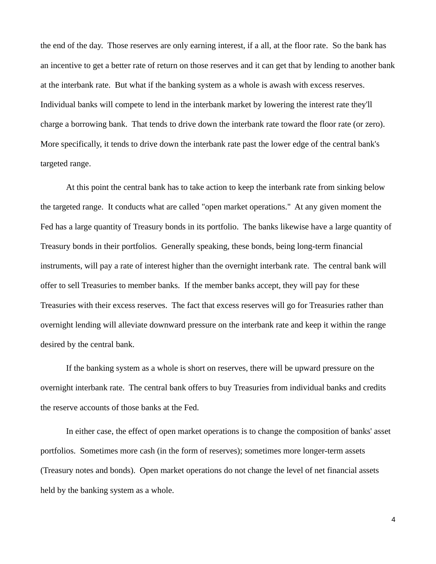the end of the day. Those reserves are only earning interest, if a all, at the floor rate. So the bank has an incentive to get a better rate of return on those reserves and it can get that by lending to another bank at the interbank rate. But what if the banking system as a whole is awash with excess reserves. Individual banks will compete to lend in the interbank market by lowering the interest rate they'll charge a borrowing bank. That tends to drive down the interbank rate toward the floor rate (or zero). More specifically, it tends to drive down the interbank rate past the lower edge of the central bank's targeted range.

At this point the central bank has to take action to keep the interbank rate from sinking below the targeted range. It conducts what are called "open market operations." At any given moment the Fed has a large quantity of Treasury bonds in its portfolio. The banks likewise have a large quantity of Treasury bonds in their portfolios. Generally speaking, these bonds, being long-term financial instruments, will pay a rate of interest higher than the overnight interbank rate. The central bank will offer to sell Treasuries to member banks. If the member banks accept, they will pay for these Treasuries with their excess reserves. The fact that excess reserves will go for Treasuries rather than overnight lending will alleviate downward pressure on the interbank rate and keep it within the range desired by the central bank.

If the banking system as a whole is short on reserves, there will be upward pressure on the overnight interbank rate. The central bank offers to buy Treasuries from individual banks and credits the reserve accounts of those banks at the Fed.

In either case, the effect of open market operations is to change the composition of banks' asset portfolios. Sometimes more cash (in the form of reserves); sometimes more longer-term assets (Treasury notes and bonds). Open market operations do not change the level of net financial assets held by the banking system as a whole.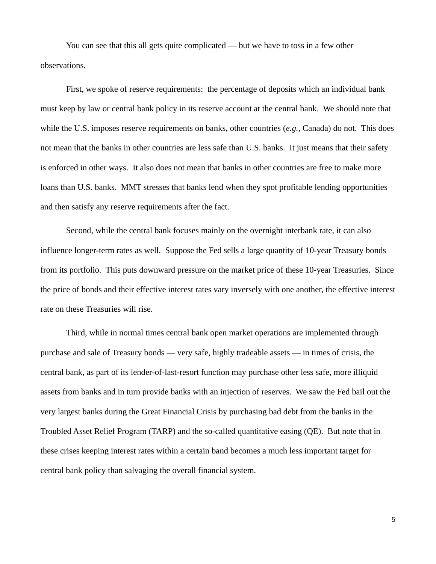You can see that this all gets quite complicated — but we have to toss in a few other observations.

First, we spoke of reserve requirements: the percentage of deposits which an individual bank must keep by law or central bank policy in its reserve account at the central bank. We should note that while the U.S. imposes reserve requirements on banks, other countries (*e.g.*, Canada) do not. This does not mean that the banks in other countries are less safe than U.S. banks. It just means that their safety is enforced in other ways. It also does not mean that banks in other countries are free to make more loans than U.S. banks. MMT stresses that banks lend when they spot profitable lending opportunities and then satisfy any reserve requirements after the fact.

Second, while the central bank focuses mainly on the overnight interbank rate, it can also influence longer-term rates as well. Suppose the Fed sells a large quantity of 10-year Treasury bonds from its portfolio. This puts downward pressure on the market price of these 10-year Treasuries. Since the price of bonds and their effective interest rates vary inversely with one another, the effective interest rate on these Treasuries will rise.

Third, while in normal times central bank open market operations are implemented through purchase and sale of Treasury bonds — very safe, highly tradeable assets — in times of crisis, the central bank, as part of its lender-of-last-resort function may purchase other less safe, more illiquid assets from banks and in turn provide banks with an injection of reserves. We saw the Fed bail out the very largest banks during the Great Financial Crisis by purchasing bad debt from the banks in the Troubled Asset Relief Program (TARP) and the so-called quantitative easing (QE). But note that in these crises keeping interest rates within a certain band becomes a much less important target for central bank policy than salvaging the overall financial system.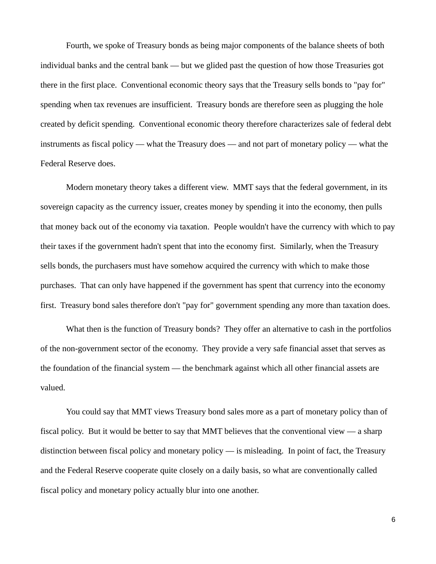Fourth, we spoke of Treasury bonds as being major components of the balance sheets of both individual banks and the central bank — but we glided past the question of how those Treasuries got there in the first place. Conventional economic theory says that the Treasury sells bonds to "pay for" spending when tax revenues are insufficient. Treasury bonds are therefore seen as plugging the hole created by deficit spending. Conventional economic theory therefore characterizes sale of federal debt instruments as fiscal policy — what the Treasury does — and not part of monetary policy — what the Federal Reserve does.

Modern monetary theory takes a different view. MMT says that the federal government, in its sovereign capacity as the currency issuer, creates money by spending it into the economy, then pulls that money back out of the economy via taxation. People wouldn't have the currency with which to pay their taxes if the government hadn't spent that into the economy first. Similarly, when the Treasury sells bonds, the purchasers must have somehow acquired the currency with which to make those purchases. That can only have happened if the government has spent that currency into the economy first. Treasury bond sales therefore don't "pay for" government spending any more than taxation does.

What then is the function of Treasury bonds? They offer an alternative to cash in the portfolios of the non-government sector of the economy. They provide a very safe financial asset that serves as the foundation of the financial system — the benchmark against which all other financial assets are valued.

You could say that MMT views Treasury bond sales more as a part of monetary policy than of fiscal policy. But it would be better to say that MMT believes that the conventional view — a sharp distinction between fiscal policy and monetary policy — is misleading. In point of fact, the Treasury and the Federal Reserve cooperate quite closely on a daily basis, so what are conventionally called fiscal policy and monetary policy actually blur into one another.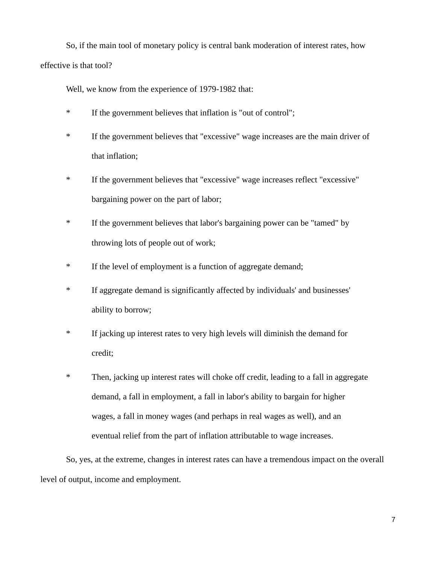So, if the main tool of monetary policy is central bank moderation of interest rates, how effective is that tool?

Well, we know from the experience of 1979-1982 that:

- \* If the government believes that inflation is "out of control";
- \* If the government believes that "excessive" wage increases are the main driver of that inflation;
- \* If the government believes that "excessive" wage increases reflect "excessive" bargaining power on the part of labor;
- \* If the government believes that labor's bargaining power can be "tamed" by throwing lots of people out of work;
- \* If the level of employment is a function of aggregate demand;
- \* If aggregate demand is significantly affected by individuals' and businesses' ability to borrow;
- \* If jacking up interest rates to very high levels will diminish the demand for credit;
- \* Then, jacking up interest rates will choke off credit, leading to a fall in aggregate demand, a fall in employment, a fall in labor's ability to bargain for higher wages, a fall in money wages (and perhaps in real wages as well), and an eventual relief from the part of inflation attributable to wage increases.

So, yes, at the extreme, changes in interest rates can have a tremendous impact on the overall level of output, income and employment.